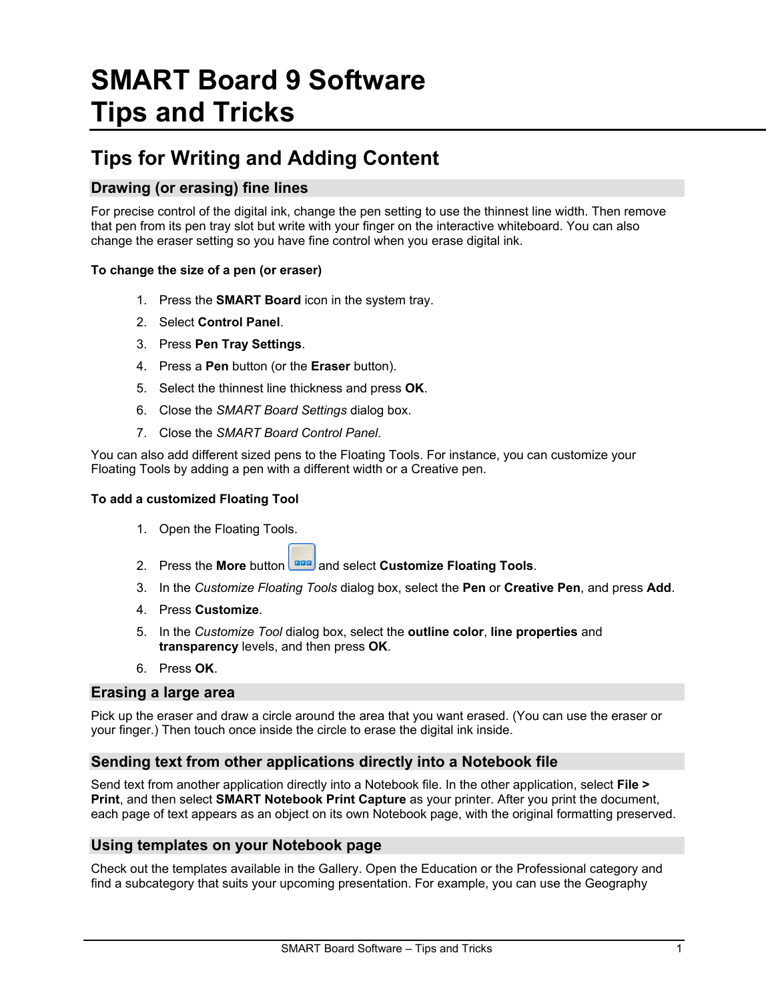# **SMART Board 9 Software Tips and Tricks**

# **Tips for Writing and Adding Content**

# **Drawing (or erasing) fine lines**

For precise control of the digital ink, change the pen setting to use the thinnest line width. Then remove that pen from its pen tray slot but write with your finger on the interactive whiteboard. You can also change the eraser setting so you have fine control when you erase digital ink.

#### **To change the size of a pen (or eraser)**

- 1. Press the **SMART Board** icon in the system tray.
- 2. Select **Control Panel**.
- 3. Press **Pen Tray Settings**.
- 4. Press a **Pen** button (or the **Eraser** button).
- 5. Select the thinnest line thickness and press **OK**.
- 6. Close the *SMART Board Settings* dialog box.
- 7. Close the *SMART Board Control Panel*.

You can also add different sized pens to the Floating Tools. For instance, you can customize your Floating Tools by adding a pen with a different width or a Creative pen.

#### **To add a customized Floating Tool**

- 1. Open the Floating Tools.
- 2. Press the More button **and** and select **Customize Floating Tools**.
- 3. In the *Customize Floating Tools* dialog box, select the **Pen** or **Creative Pen**, and press **Add**.
- 4. Press **Customize**.
- 5. In the *Customize Tool* dialog box, select the **outline color**, **line properties** and **transparency** levels, and then press **OK**.
- 6. Press **OK**.

#### **Erasing a large area**

Pick up the eraser and draw a circle around the area that you want erased. (You can use the eraser or your finger.) Then touch once inside the circle to erase the digital ink inside.

#### **Sending text from other applications directly into a Notebook file**

Send text from another application directly into a Notebook file. In the other application, select **File > Print**, and then select **SMART Notebook Print Capture** as your printer. After you print the document, each page of text appears as an object on its own Notebook page, with the original formatting preserved.

#### **Using templates on your Notebook page**

Check out the templates available in the Gallery. Open the Education or the Professional category and find a subcategory that suits your upcoming presentation. For example, you can use the Geography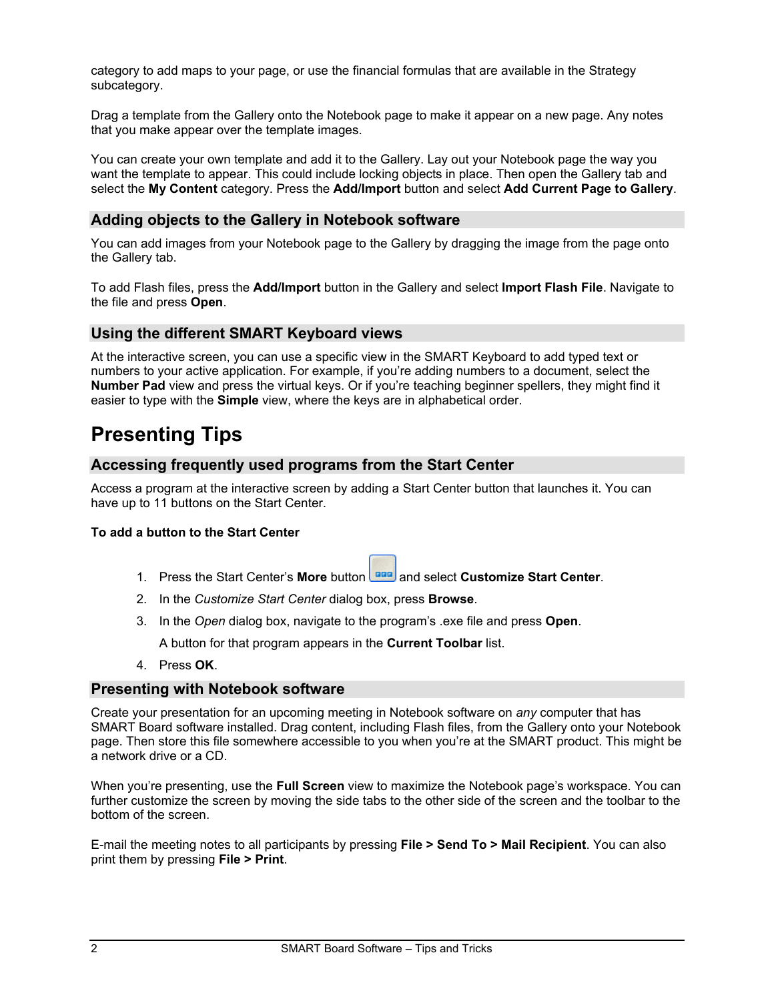category to add maps to your page, or use the financial formulas that are available in the Strategy subcategory.

Drag a template from the Gallery onto the Notebook page to make it appear on a new page. Any notes that you make appear over the template images.

You can create your own template and add it to the Gallery. Lay out your Notebook page the way you want the template to appear. This could include locking objects in place. Then open the Gallery tab and select the **My Content** category. Press the **Add/Import** button and select **Add Current Page to Gallery**.

### **Adding objects to the Gallery in Notebook software**

You can add images from your Notebook page to the Gallery by dragging the image from the page onto the Gallery tab.

To add Flash files, press the **Add/Import** button in the Gallery and select **Import Flash File**. Navigate to the file and press **Open**.

#### **Using the different SMART Keyboard views**

At the interactive screen, you can use a specific view in the SMART Keyboard to add typed text or numbers to your active application. For example, if you're adding numbers to a document, select the **Number Pad** view and press the virtual keys. Or if you're teaching beginner spellers, they might find it easier to type with the **Simple** view, where the keys are in alphabetical order.

# **Presenting Tips**

#### **Accessing frequently used programs from the Start Center**

Access a program at the interactive screen by adding a Start Center button that launches it. You can have up to 11 buttons on the Start Center.

#### **To add a button to the Start Center**

- 1. Press the Start Center's More button **Figure** and select **Customize Start Center**.
- 2. In the *Customize Start Center* dialog box, press **Browse**.
- 3. In the *Open* dialog box, navigate to the program's .exe file and press **Open**.

A button for that program appears in the **Current Toolbar** list.

4. Press **OK**.

#### **Presenting with Notebook software**

Create your presentation for an upcoming meeting in Notebook software on *any* computer that has SMART Board software installed. Drag content, including Flash files, from the Gallery onto your Notebook page. Then store this file somewhere accessible to you when you're at the SMART product. This might be a network drive or a CD.

When you're presenting, use the **Full Screen** view to maximize the Notebook page's workspace. You can further customize the screen by moving the side tabs to the other side of the screen and the toolbar to the bottom of the screen.

E-mail the meeting notes to all participants by pressing **File > Send To > Mail Recipient**. You can also print them by pressing **File > Print**.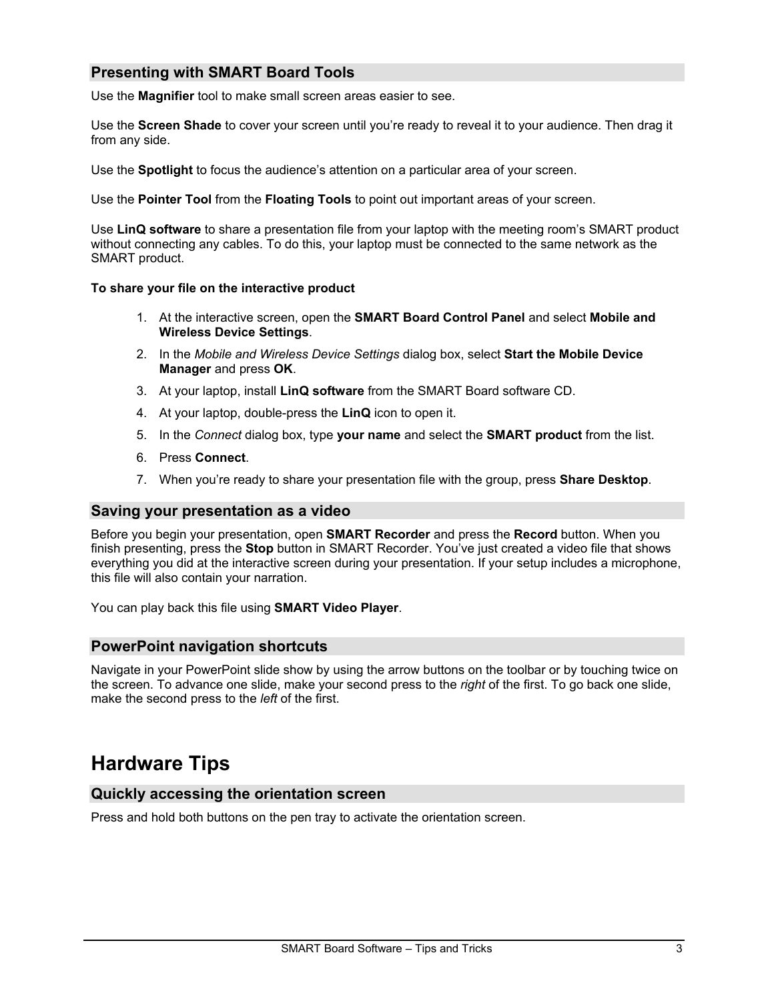# **Presenting with SMART Board Tools**

Use the **Magnifier** tool to make small screen areas easier to see.

Use the **Screen Shade** to cover your screen until you're ready to reveal it to your audience. Then drag it from any side.

Use the **Spotlight** to focus the audience's attention on a particular area of your screen.

Use the **Pointer Tool** from the **Floating Tools** to point out important areas of your screen.

Use **LinQ software** to share a presentation file from your laptop with the meeting room's SMART product without connecting any cables. To do this, your laptop must be connected to the same network as the SMART product.

#### **To share your file on the interactive product**

- 1. At the interactive screen, open the **SMART Board Control Panel** and select **Mobile and Wireless Device Settings**.
- 2. In the *Mobile and Wireless Device Settings* dialog box, select **Start the Mobile Device Manager** and press **OK**.
- 3. At your laptop, install **LinQ software** from the SMART Board software CD.
- 4. At your laptop, double-press the **LinQ** icon to open it.
- 5. In the *Connect* dialog box, type **your name** and select the **SMART product** from the list.
- 6. Press **Connect**.
- 7. When you're ready to share your presentation file with the group, press **Share Desktop**.

#### **Saving your presentation as a video**

Before you begin your presentation, open **SMART Recorder** and press the **Record** button. When you finish presenting, press the **Stop** button in SMART Recorder. You've just created a video file that shows everything you did at the interactive screen during your presentation. If your setup includes a microphone, this file will also contain your narration.

You can play back this file using **SMART Video Player**.

#### **PowerPoint navigation shortcuts**

Navigate in your PowerPoint slide show by using the arrow buttons on the toolbar or by touching twice on the screen. To advance one slide, make your second press to the *right* of the first. To go back one slide, make the second press to the *left* of the first.

# **Hardware Tips**

#### **Quickly accessing the orientation screen**

Press and hold both buttons on the pen tray to activate the orientation screen.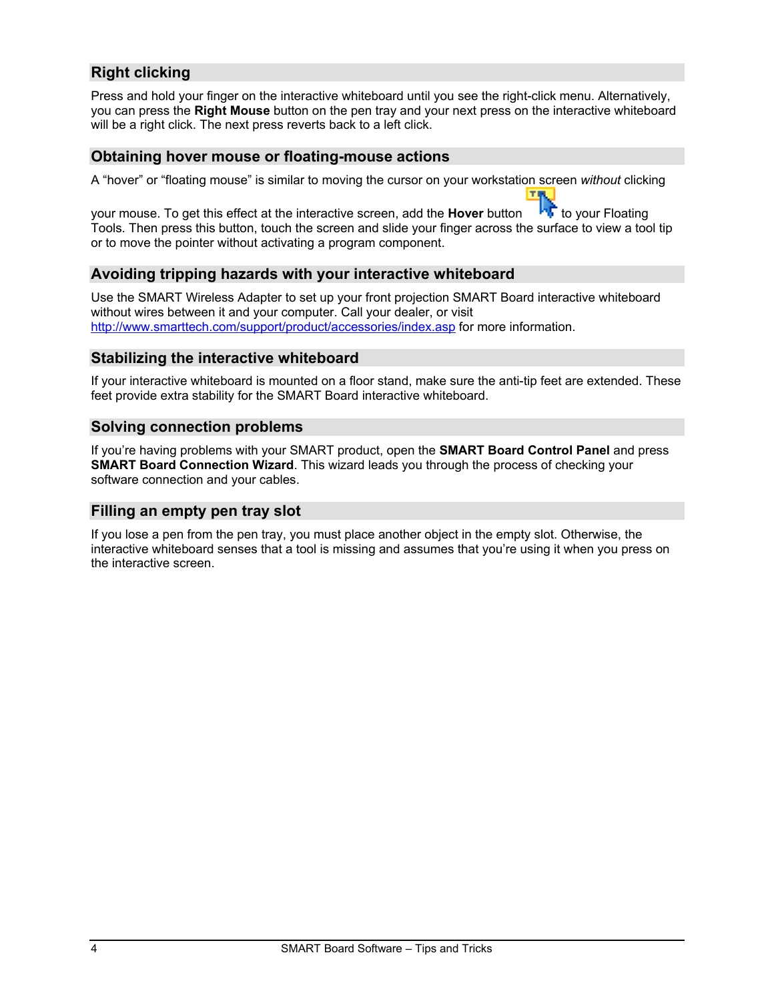# **Right clicking**

Press and hold your finger on the interactive whiteboard until you see the right-click menu. Alternatively, you can press the **Right Mouse** button on the pen tray and your next press on the interactive whiteboard will be a right click. The next press reverts back to a left click.

#### **Obtaining hover mouse or floating-mouse actions**

A "hover" or "floating mouse" is similar to moving the cursor on your workstation screen *without* clicking

your mouse. To get this effect at the interactive screen, add the **Hover** button **the to your Floating** Tools. Then press this button, touch the screen and slide your finger across the surface to view a tool tip or to move the pointer without activating a program component.

## **Avoiding tripping hazards with your interactive whiteboard**

Use the SMART Wireless Adapter to set up your front projection SMART Board interactive whiteboard without wires between it and your computer. Call your dealer, or visit <http://www.smarttech.com/support/product/accessories/index.asp> for more information.

### **Stabilizing the interactive whiteboard**

If your interactive whiteboard is mounted on a floor stand, make sure the anti-tip feet are extended. These feet provide extra stability for the SMART Board interactive whiteboard.

#### **Solving connection problems**

If you're having problems with your SMART product, open the **SMART Board Control Panel** and press **SMART Board Connection Wizard**. This wizard leads you through the process of checking your software connection and your cables.

#### **Filling an empty pen tray slot**

If you lose a pen from the pen tray, you must place another object in the empty slot. Otherwise, the interactive whiteboard senses that a tool is missing and assumes that you're using it when you press on the interactive screen.